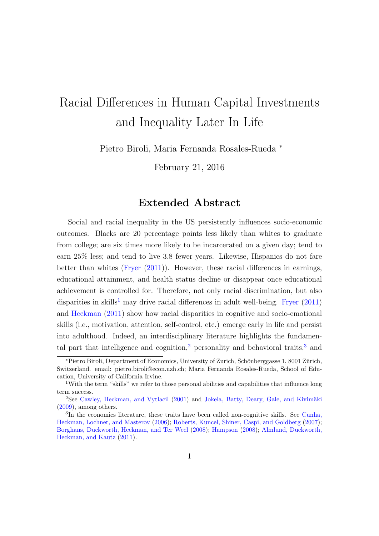## <span id="page-0-3"></span>Racial Differences in Human Capital Investments and Inequality Later In Life

Pietro Biroli, Maria Fernanda Rosales-Rueda <sup>∗</sup>

February 21, 2016

## Extended Abstract

Social and racial inequality in the US persistently influences socio-economic outcomes. Blacks are 20 percentage points less likely than whites to graduate from college; are six times more likely to be incarcerated on a given day; tend to earn 25% less; and tend to live 3.8 fewer years. Likewise, Hispanics do not fare better than whites [\(Fryer](#page-5-0) [\(2011\)](#page-5-0)). However, these racial differences in earnings, educational attainment, and health status decline or disappear once educational achievement is controlled for. Therefore, not only racial discrimination, but also disparities in skills<sup>[1](#page-0-0)</sup> may drive racial differences in adult well-being. [Fryer](#page-5-0)  $(2011)$ and [Heckman](#page-6-0) [\(2011\)](#page-6-0) show how racial disparities in cognitive and socio-emotional skills (i.e., motivation, attention, self-control, etc.) emerge early in life and persist into adulthood. Indeed, an interdisciplinary literature highlights the fundamen-tal part that intelligence and cognition,<sup>[2](#page-0-1)</sup> personality and behavioral traits,<sup>[3](#page-0-2)</sup> and

<sup>∗</sup>Pietro Biroli, Department of Economics, University of Zurich, Sch¨onberggasse 1, 8001 Z¨urich, Switzerland. email: pietro.biroli@econ.uzh.ch; Maria Fernanda Rosales-Rueda, School of Education, University of California Irvine.

<span id="page-0-0"></span><sup>1</sup>With the term "skills" we refer to those personal abilities and capabilities that influence long term success.

<span id="page-0-1"></span> $2$ See [Cawley, Heckman, and Vytlacil](#page-4-0) [\(2001\)](#page-4-0) and Jokela, Batty, Deary, Gale, and Kivimäki [\(2009\)](#page-6-1), among others.

<span id="page-0-2"></span><sup>&</sup>lt;sup>3</sup>In the economics literature, these traits have been called non-cognitive skills. See [Cunha,](#page-5-1) [Heckman, Lochner, and Masterov](#page-5-1) [\(2006\)](#page-5-1); [Roberts, Kuncel, Shiner, Caspi, and Goldberg](#page-6-2) [\(2007\)](#page-6-2); [Borghans, Duckworth, Heckman, and Ter Weel](#page-4-1) [\(2008\)](#page-4-1); [Hampson](#page-6-3) [\(2008\)](#page-6-3); [Almlund, Duckworth,](#page-3-0) [Heckman, and Kautz](#page-3-0) [\(2011\)](#page-3-0).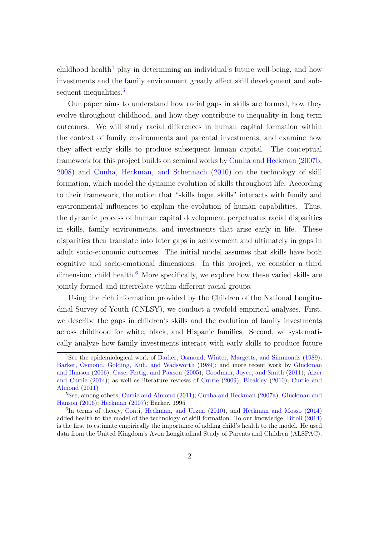$\chi$ childhood health<sup>[4](#page-1-0)</sup> play in determining an individual's future well-being, and how investments and the family environment greatly affect skill development and sub-sequent inequalities.<sup>[5](#page-1-1)</sup>

Our paper aims to understand how racial gaps in skills are formed, how they evolve throughout childhood, and how they contribute to inequality in long term outcomes. We will study racial differences in human capital formation within the context of family environments and parental investments, and examine how they affect early skills to produce subsequent human capital. The conceptual framework for this project builds on seminal works by [Cunha and Heckman](#page-4-2) [\(2007b,](#page-4-2) [2008\)](#page-4-3) and [Cunha, Heckman, and Schennach](#page-5-2) [\(2010\)](#page-5-2) on the technology of skill formation, which model the dynamic evolution of skills throughout life. According to their framework, the notion that "skills beget skills" interacts with family and environmental influences to explain the evolution of human capabilities. Thus, the dynamic process of human capital development perpetuates racial disparities in skills, family environments, and investments that arise early in life. These disparities then translate into later gaps in achievement and ultimately in gaps in adult socio-economic outcomes. The initial model assumes that skills have both cognitive and socio-emotional dimensions. In this project, we consider a third dimension: child health. $<sup>6</sup>$  $<sup>6</sup>$  $<sup>6</sup>$  More specifically, we explore how these varied skills are</sup> jointly formed and interrelate within different racial groups.

Using the rich information provided by the Children of the National Longitudinal Survey of Youth (CNLSY), we conduct a twofold empirical analyses. First, we describe the gaps in children's skills and the evolution of family investments across childhood for white, black, and Hispanic families. Second, we systematically analyze how family investments interact with early skills to produce future

<span id="page-1-0"></span><sup>4</sup>See the epidemiological work of [Barker, Osmond, Winter, Margetts, and Simmonds](#page-3-1) [\(1989\)](#page-3-1); [Barker, Osmond, Golding, Kuh, and Wadsworth](#page-3-2) [\(1989\)](#page-3-2); and more recent work by [Gluckman](#page-5-3) [and Hanson](#page-5-3) [\(2006\)](#page-5-3); [Case, Fertig, and Paxson](#page-4-4) [\(2005\)](#page-4-4); [Goodman, Joyce, and Smith](#page-5-4) [\(2011\)](#page-5-4); [Aizer](#page-3-3) [and Currie](#page-3-3) [\(2014\)](#page-3-3); as well as literature reviews of [Currie](#page-5-5) [\(2009\)](#page-5-5); [Bleakley](#page-4-5) [\(2010\)](#page-4-5); [Currie and](#page-5-6) [Almond](#page-5-6) [\(2011\)](#page-5-6)

<span id="page-1-1"></span><sup>5</sup>See, among others, [Currie and Almond](#page-5-6) [\(2011\)](#page-5-6); [Cunha and Heckman](#page-4-6) [\(2007a\)](#page-4-6); [Gluckman and](#page-5-3) [Hanson](#page-5-3) [\(2006\)](#page-5-3); [Heckman](#page-6-4) [\(2007\)](#page-6-4); Barker, 1995

<span id="page-1-2"></span><sup>6</sup> In terms of theory, [Conti, Heckman, and Urzua](#page-4-7) [\(2010\)](#page-4-7), and [Heckman and Mosso](#page-6-5) [\(2014\)](#page-6-5) added health to the model of the technology of skill formation. To our knowledge, [Biroli](#page-3-4) [\(2014\)](#page-3-4) is the first to estimate empirically the importance of adding child's health to the model. He used data from the United Kingdom's Avon Longitudinal Study of Parents and Children (ALSPAC).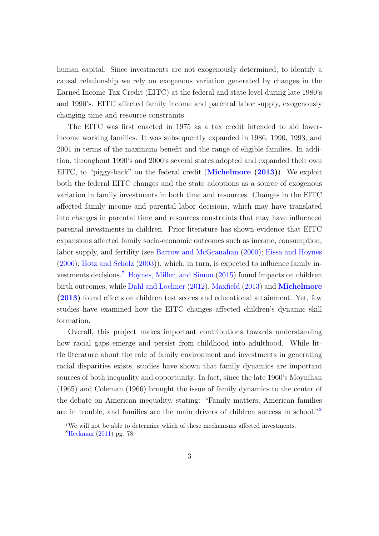human capital. Since investments are not exogenously determined, to identify a causal relationship we rely on exogenous variation generated by changes in the Earned Income Tax Credit (EITC) at the federal and state level during late 1980's and 1990's. EITC affected family income and parental labor supply, exogenously changing time and resource constraints.

The EITC was first enacted in 1975 as a tax credit intended to aid lowerincome working families. It was subsequently expanded in 1986, 1990, 1993, and 2001 in terms of the maximum benefit and the range of eligible families. In addition, throughout 1990's and 2000's several states adopted and expanded their own EITC, to "piggy-back" on the federal credit ([Michelmore](#page-6-6) [\(2013\)](#page-6-6)). We exploit both the federal EITC changes and the state adoptions as a source of exogenous variation in family investments in both time and resources. Changes in the EITC affected family income and parental labor decisions, which may have translated into changes in parental time and resources constraints that may have influenced parental investments in children. Prior literature has shown evidence that EITC expansions affected family socio-economic outcomes such as income, consumption, labor supply, and fertility (see [Barrow and McGranahan](#page-3-5) [\(2000\)](#page-3-5); [Eissa and Hoynes](#page-5-7) [\(2006\)](#page-5-7); [Hotz and Scholz](#page-6-7) [\(2003\)](#page-6-7)), which, in turn, is expected to influence family investments decisions.[7](#page-2-0) [Hoynes, Miller, and Simon](#page-6-8) [\(2015\)](#page-6-8) found impacts on children birth outcomes, while [Dahl and Lochner](#page-5-8) [\(2012\)](#page-5-8), [Maxfield](#page-6-9) [\(2013\)](#page-6-9) and [Michelmore](#page-6-6) [\(2013\)](#page-6-6) found effects on children test scores and educational attainment. Yet, few studies have examined how the EITC changes affected children's dynamic skill formation.

Overall, this project makes important contributions towards understanding how racial gaps emerge and persist from childhood into adulthood. While little literature about the role of family environment and investments in generating racial disparities exists, studies have shown that family dynamics are important sources of both inequality and opportunity. In fact, since the late 1960's Moynihan (1965) and Coleman (1966) brought the issue of family dynamics to the center of the debate on American inequality, stating: "Family matters, American families are in trouble, and families are the main drivers of children success in school."[8](#page-2-1)

<span id="page-2-0"></span><sup>7</sup>We will not be able to determine which of these mechanisms affected investments.

<span id="page-2-1"></span><sup>8</sup>[Heckman](#page-6-0) [\(2011\)](#page-6-0) pg. 78.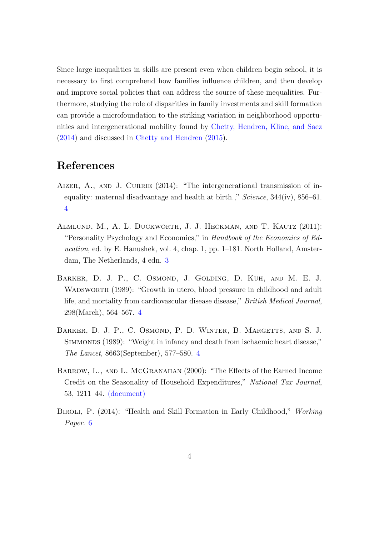Since large inequalities in skills are present even when children begin school, it is necessary to first comprehend how families influence children, and then develop and improve social policies that can address the source of these inequalities. Furthermore, studying the role of disparities in family investments and skill formation can provide a microfoundation to the striking variation in neighborhood opportunities and intergenerational mobility found by [Chetty, Hendren, Kline, and Saez](#page-4-8) [\(2014\)](#page-4-8) and discussed in [Chetty and Hendren](#page-4-9) [\(2015\)](#page-4-9).

## References

- <span id="page-3-3"></span>AIZER, A., AND J. CURRIE  $(2014)$ : "The intergenerational transmission of inequality: maternal disadvantage and health at birth.,"  $Science$ ,  $344(iv)$ ,  $856-61$ . [4](#page-1-0)
- <span id="page-3-0"></span>Almlund, M., A. L. Duckworth, J. J. Heckman, and T. Kautz (2011): "Personality Psychology and Economics," in Handbook of the Economics of Education, ed. by E. Hanushek, vol. 4, chap. 1, pp. 1–181. North Holland, Amsterdam, The Netherlands, 4 edn. [3](#page-0-2)
- <span id="page-3-2"></span>Barker, D. J. P., C. Osmond, J. Golding, D. Kuh, and M. E. J. WADSWORTH (1989): "Growth in utero, blood pressure in childhood and adult life, and mortality from cardiovascular disease disease," British Medical Journal, 298(March), 564–567. [4](#page-1-0)
- <span id="page-3-1"></span>BARKER, D. J. P., C. OSMOND, P. D. WINTER, B. MARGETTS, AND S. J. SIMMONDS (1989): "Weight in infancy and death from ischaemic heart disease," The Lancet, 8663(September), 577–580. [4](#page-1-0)
- <span id="page-3-5"></span>BARROW, L., AND L. MCGRANAHAN (2000): "The Effects of the Earned Income Credit on the Seasonality of Household Expenditures," National Tax Journal, 53, 1211–44. [\(document\)](#page-0-3)
- <span id="page-3-4"></span>BIROLI, P. (2014): "Health and Skill Formation in Early Childhood," Working Paper. [6](#page-1-2)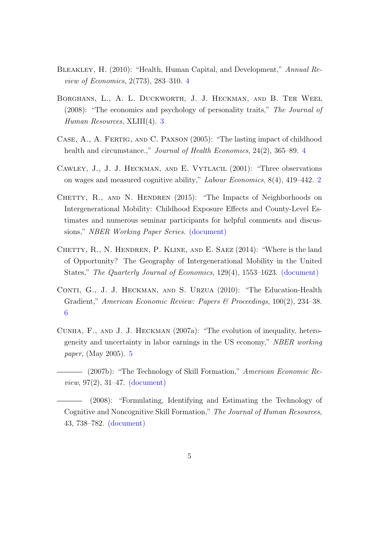- <span id="page-4-5"></span>Bleakley, H. (2010): "Health, Human Capital, and Development," Annual Review of Economics, 2(773), 283–310. [4](#page-1-0)
- <span id="page-4-1"></span>Borghans, L., A. L. Duckworth, J. J. Heckman, and B. Ter Weel (2008): "The economics and psychology of personality traits," The Journal of Human Resources, XLIII(4). [3](#page-0-2)
- <span id="page-4-4"></span>Case, A., A. Fertig, and C. Paxson (2005): "The lasting impact of childhood health and circumstance.," *Journal of Health Economics*, 2[4](#page-1-0)(2), 365–89. 4
- <span id="page-4-0"></span>Cawley, J., J. J. Heckman, and E. Vytlacil (2001): "Three observations on wages and measured cognitive ability," Labour Economics, 8(4), 419–442. [2](#page-0-1)
- <span id="page-4-9"></span>CHETTY, R., AND N. HENDREN (2015): "The Impacts of Neighborhoods on Intergenerational Mobility: Childhood Exposure Effects and County-Level Estimates and numerous seminar participants for helpful comments and discussions," NBER Working Paper Series. [\(document\)](#page-0-3)
- <span id="page-4-8"></span>CHETTY, R., N. HENDREN, P. KLINE, AND E. SAEZ (2014): "Where is the land of Opportunity? The Geography of Intergenerational Mobility in the United States," The Quarterly Journal of Economics, 129(4), 1553–1623. [\(document\)](#page-0-3)
- <span id="page-4-7"></span>CONTI, G., J. J. HECKMAN, AND S. URZUA (2010): "The Education-Health Gradient," American Economic Review: Papers & Proceedings, 100(2), 234–38. [6](#page-1-2)
- <span id="page-4-6"></span>Cunha, F., and J. J. Heckman (2007a): "The evolution of inequality, heterogeneity and uncertainty in labor earnings in the US economy," NBER working paper, (May 2005). [5](#page-1-1)
- <span id="page-4-2"></span>- (2007b): "The Technology of Skill Formation," American Economic Review, 97(2), 31–47. [\(document\)](#page-0-3)
- <span id="page-4-3"></span>(2008): "Formulating, Identifying and Estimating the Technology of Cognitive and Noncognitive Skill Formation," The Journal of Human Resources, 43, 738–782. [\(document\)](#page-0-3)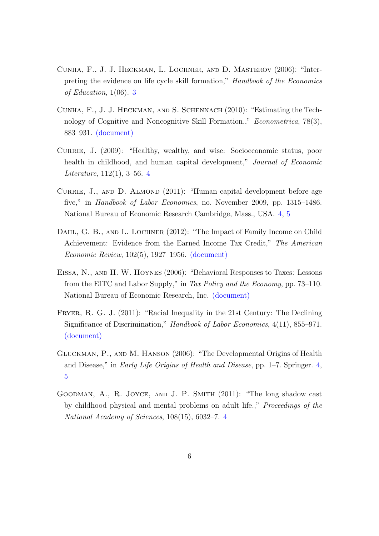- <span id="page-5-1"></span>Cunha, F., J. J. Heckman, L. Lochner, and D. Masterov (2006): "Interpreting the evidence on life cycle skill formation," Handbook of the Economics of Education, 1(06). [3](#page-0-2)
- <span id="page-5-2"></span>Cunha, F., J. J. Heckman, and S. Schennach (2010): "Estimating the Technology of Cognitive and Noncognitive Skill Formation.," *Econometrica*, 78(3), 883–931. [\(document\)](#page-0-3)
- <span id="page-5-5"></span>CURRIE, J. (2009): "Healthy, wealthy, and wise: Socioeconomic status, poor health in childhood, and human capital development," Journal of Economic Literature, 112(1), 3–56. [4](#page-1-0)
- <span id="page-5-6"></span>CURRIE, J., AND D. ALMOND (2011): "Human capital development before age five," in *Handbook of Labor Economics*, no. November 2009, pp. 1315–1486. National Bureau of Economic Research Cambridge, Mass., USA. [4,](#page-1-0) [5](#page-1-1)
- <span id="page-5-8"></span>DAHL, G. B., AND L. LOCHNER (2012): "The Impact of Family Income on Child Achievement: Evidence from the Earned Income Tax Credit," The American Economic Review, 102(5), 1927–1956. [\(document\)](#page-0-3)
- <span id="page-5-7"></span>Eissa, N., and H. W. Hoynes (2006): "Behavioral Responses to Taxes: Lessons from the EITC and Labor Supply," in Tax Policy and the Economy, pp. 73–110. National Bureau of Economic Research, Inc. [\(document\)](#page-0-3)
- <span id="page-5-0"></span>Fryer, R. G. J. (2011): "Racial Inequality in the 21st Century: The Declining Significance of Discrimination," Handbook of Labor Economics, 4(11), 855–971. [\(document\)](#page-0-3)
- <span id="page-5-3"></span>Gluckman, P., and M. Hanson (2006): "The Developmental Origins of Health and Disease," in Early Life Origins of Health and Disease, pp. 1–7. Springer. [4,](#page-1-0) [5](#page-1-1)
- <span id="page-5-4"></span>Goodman, A., R. Joyce, and J. P. Smith (2011): "The long shadow cast by childhood physical and mental problems on adult life.," Proceedings of the National Academy of Sciences, 108(15), 6032–7. [4](#page-1-0)